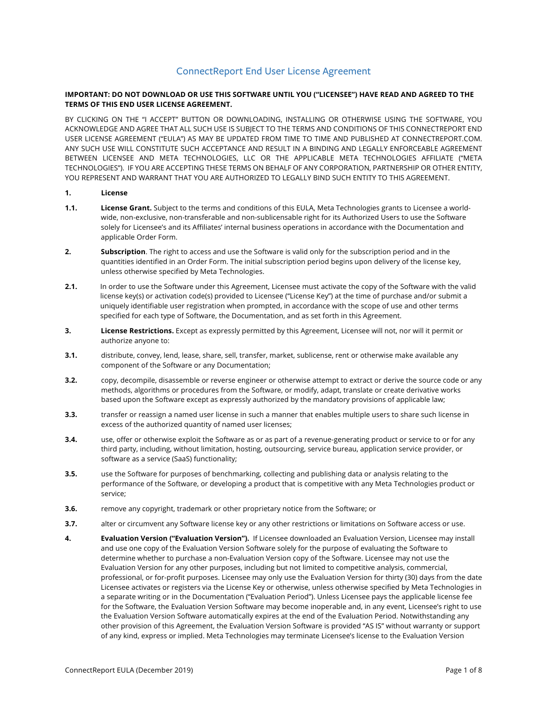# ConnectReport End User License Agreement

#### **IMPORTANT: DO NOT DOWNLOAD OR USE THIS SOFTWARE UNTIL YOU ("LICENSEE") HAVE READ AND AGREED TO THE TERMS OF THIS END USER LICENSE AGREEMENT.**

BY CLICKING ON THE "I ACCEPT" BUTTON OR DOWNLOADING, INSTALLING OR OTHERWISE USING THE SOFTWARE, YOU ACKNOWLEDGE AND AGREE THAT ALL SUCH USE IS SUBJECT TO THE TERMS AND CONDITIONS OF THIS CONNECTREPORT END USER LICENSE AGREEMENT ("EULA") AS MAY BE UPDATED FROM TIME TO TIME AND PUBLISHED AT CONNECTREPORT.COM. ANY SUCH USE WILL CONSTITUTE SUCH ACCEPTANCE AND RESULT IN A BINDING AND LEGALLY ENFORCEABLE AGREEMENT BETWEEN LICENSEE AND META TECHNOLOGIES, LLC OR THE APPLICABLE META TECHNOLOGIES AFFILIATE ("META TECHNOLOGIES"). IF YOU ARE ACCEPTING THESE TERMS ON BEHALF OF ANY CORPORATION, PARTNERSHIP OR OTHER ENTITY, YOU REPRESENT AND WARRANT THAT YOU ARE AUTHORIZED TO LEGALLY BIND SUCH ENTITY TO THIS AGREEMENT.

## **1. License**

- **1.1. License Grant.** Subject to the terms and conditions of this EULA, Meta Technologies grants to Licensee a worldwide, non-exclusive, non-transferable and non-sublicensable right for its Authorized Users to use the Software solely for Licensee's and its Affiliates' internal business operations in accordance with the Documentation and applicable Order Form.
- **2. Subscription**. The right to access and use the Software is valid only for the subscription period and in the quantities identified in an Order Form. The initial subscription period begins upon delivery of the license key, unless otherwise specified by Meta Technologies.
- **2.1.** In order to use the Software under this Agreement, Licensee must activate the copy of the Software with the valid license key(s) or activation code(s) provided to Licensee ("License Key") at the time of purchase and/or submit a uniquely identifiable user registration when prompted, in accordance with the scope of use and other terms specified for each type of Software, the Documentation, and as set forth in this Agreement.
- **3. License Restrictions.** Except as expressly permitted by this Agreement, Licensee will not, nor will it permit or authorize anyone to:
- **3.1.** distribute, convey, lend, lease, share, sell, transfer, market, sublicense, rent or otherwise make available any component of the Software or any Documentation;
- **3.2.** copy, decompile, disassemble or reverse engineer or otherwise attempt to extract or derive the source code or any methods, algorithms or procedures from the Software, or modify, adapt, translate or create derivative works based upon the Software except as expressly authorized by the mandatory provisions of applicable law;
- **3.3.** transfer or reassign a named user license in such a manner that enables multiple users to share such license in excess of the authorized quantity of named user licenses;
- **3.4.** use, offer or otherwise exploit the Software as or as part of a revenue-generating product or service to or for any third party, including, without limitation, hosting, outsourcing, service bureau, application service provider, or software as a service (SaaS) functionality;
- **3.5.** use the Software for purposes of benchmarking, collecting and publishing data or analysis relating to the performance of the Software, or developing a product that is competitive with any Meta Technologies product or service;
- **3.6.** remove any copyright, trademark or other proprietary notice from the Software; or
- **3.7.** alter or circumvent any Software license key or any other restrictions or limitations on Software access or use.
- **4. Evaluation Version ("Evaluation Version").** If Licensee downloaded an Evaluation Version, Licensee may install and use one copy of the Evaluation Version Software solely for the purpose of evaluating the Software to determine whether to purchase a non-Evaluation Version copy of the Software. Licensee may not use the Evaluation Version for any other purposes, including but not limited to competitive analysis, commercial, professional, or for-profit purposes. Licensee may only use the Evaluation Version for thirty (30) days from the date Licensee activates or registers via the License Key or otherwise, unless otherwise specified by Meta Technologies in a separate writing or in the Documentation ("Evaluation Period"). Unless Licensee pays the applicable license fee for the Software, the Evaluation Version Software may become inoperable and, in any event, Licensee's right to use the Evaluation Version Software automatically expires at the end of the Evaluation Period. Notwithstanding any other provision of this Agreement, the Evaluation Version Software is provided "AS IS" without warranty or support of any kind, express or implied. Meta Technologies may terminate Licensee's license to the Evaluation Version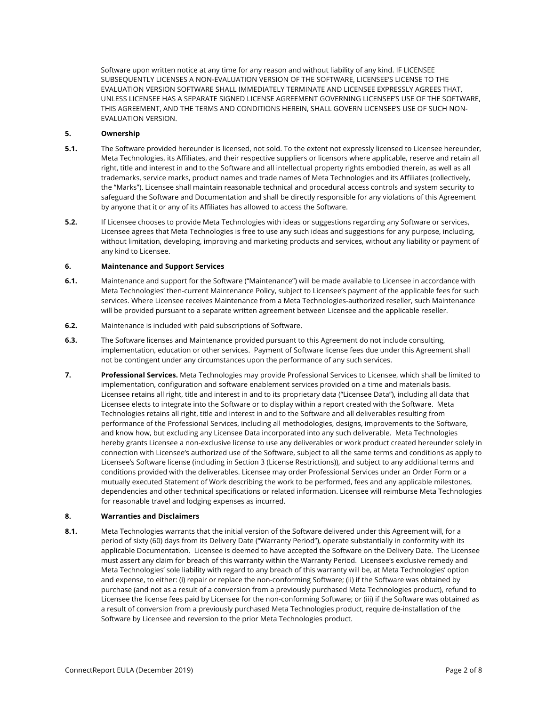Software upon written notice at any time for any reason and without liability of any kind. IF LICENSEE SUBSEQUENTLY LICENSES A NON-EVALUATION VERSION OF THE SOFTWARE, LICENSEE'S LICENSE TO THE EVALUATION VERSION SOFTWARE SHALL IMMEDIATELY TERMINATE AND LICENSEE EXPRESSLY AGREES THAT, UNLESS LICENSEE HAS A SEPARATE SIGNED LICENSE AGREEMENT GOVERNING LICENSEE'S USE OF THE SOFTWARE, THIS AGREEMENT, AND THE TERMS AND CONDITIONS HEREIN, SHALL GOVERN LICENSEE'S USE OF SUCH NON-EVALUATION VERSION.

## **5. Ownership**

- **5.1.** The Software provided hereunder is licensed, not sold. To the extent not expressly licensed to Licensee hereunder, Meta Technologies, its Affiliates, and their respective suppliers or licensors where applicable, reserve and retain all right, title and interest in and to the Software and all intellectual property rights embodied therein, as well as all trademarks, service marks, product names and trade names of Meta Technologies and its Affiliates (collectively, the "Marks"). Licensee shall maintain reasonable technical and procedural access controls and system security to safeguard the Software and Documentation and shall be directly responsible for any violations of this Agreement by anyone that it or any of its Affiliates has allowed to access the Software.
- **5.2.** If Licensee chooses to provide Meta Technologies with ideas or suggestions regarding any Software or services, Licensee agrees that Meta Technologies is free to use any such ideas and suggestions for any purpose, including, without limitation, developing, improving and marketing products and services, without any liability or payment of any kind to Licensee.

#### **6. Maintenance and Support Services**

- **6.1.** Maintenance and support for the Software ("Maintenance") will be made available to Licensee in accordance with Meta Technologies' then-current Maintenance Policy, subject to Licensee's payment of the applicable fees for such services. Where Licensee receives Maintenance from a Meta Technologies-authorized reseller, such Maintenance will be provided pursuant to a separate written agreement between Licensee and the applicable reseller.
- **6.2.** Maintenance is included with paid subscriptions of Software.
- **6.3.** The Software licenses and Maintenance provided pursuant to this Agreement do not include consulting, implementation, education or other services. Payment of Software license fees due under this Agreement shall not be contingent under any circumstances upon the performance of any such services.
- **7. Professional Services.** Meta Technologies may provide Professional Services to Licensee, which shall be limited to implementation, configuration and software enablement services provided on a time and materials basis. Licensee retains all right, title and interest in and to its proprietary data ("Licensee Data"), including all data that Licensee elects to integrate into the Software or to display within a report created with the Software. Meta Technologies retains all right, title and interest in and to the Software and all deliverables resulting from performance of the Professional Services, including all methodologies, designs, improvements to the Software, and know how, but excluding any Licensee Data incorporated into any such deliverable. Meta Technologies hereby grants Licensee a non-exclusive license to use any deliverables or work product created hereunder solely in connection with Licensee's authorized use of the Software, subject to all the same terms and conditions as apply to Licensee's Software license (including in Section 3 (License Restrictions)), and subject to any additional terms and conditions provided with the deliverables. Licensee may order Professional Services under an Order Form or a mutually executed Statement of Work describing the work to be performed, fees and any applicable milestones, dependencies and other technical specifications or related information. Licensee will reimburse Meta Technologies for reasonable travel and lodging expenses as incurred.

#### **8. Warranties and Disclaimers**

**8.1.** Meta Technologies warrants that the initial version of the Software delivered under this Agreement will, for a period of sixty (60) days from its Delivery Date ("Warranty Period"), operate substantially in conformity with its applicable Documentation. Licensee is deemed to have accepted the Software on the Delivery Date. The Licensee must assert any claim for breach of this warranty within the Warranty Period. Licensee's exclusive remedy and Meta Technologies' sole liability with regard to any breach of this warranty will be, at Meta Technologies' option and expense, to either: (i) repair or replace the non-conforming Software; (ii) if the Software was obtained by purchase (and not as a result of a conversion from a previously purchased Meta Technologies product), refund to Licensee the license fees paid by Licensee for the non-conforming Software; or (iii) if the Software was obtained as a result of conversion from a previously purchased Meta Technologies product, require de-installation of the Software by Licensee and reversion to the prior Meta Technologies product.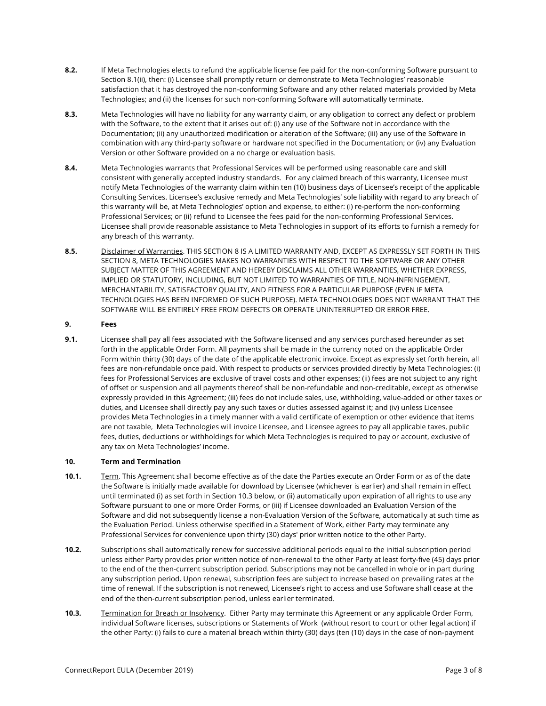- **8.2.** If Meta Technologies elects to refund the applicable license fee paid for the non-conforming Software pursuant to Section 8.1(ii), then: (i) Licensee shall promptly return or demonstrate to Meta Technologies' reasonable satisfaction that it has destroyed the non-conforming Software and any other related materials provided by Meta Technologies; and (ii) the licenses for such non-conforming Software will automatically terminate.
- **8.3.** Meta Technologies will have no liability for any warranty claim, or any obligation to correct any defect or problem with the Software, to the extent that it arises out of: (i) any use of the Software not in accordance with the Documentation; (ii) any unauthorized modification or alteration of the Software; (iii) any use of the Software in combination with any third-party software or hardware not specified in the Documentation; or (iv) any Evaluation Version or other Software provided on a no charge or evaluation basis.
- **8.4.** Meta Technologies warrants that Professional Services will be performed using reasonable care and skill consistent with generally accepted industry standards. For any claimed breach of this warranty, Licensee must notify Meta Technologies of the warranty claim within ten (10) business days of Licensee's receipt of the applicable Consulting Services. Licensee's exclusive remedy and Meta Technologies' sole liability with regard to any breach of this warranty will be, at Meta Technologies' option and expense, to either: (i) re-perform the non-conforming Professional Services; or (ii) refund to Licensee the fees paid for the non-conforming Professional Services. Licensee shall provide reasonable assistance to Meta Technologies in support of its efforts to furnish a remedy for any breach of this warranty.
- **8.5.** Disclaimer of Warranties. THIS SECTION 8 IS A LIMITED WARRANTY AND, EXCEPT AS EXPRESSLY SET FORTH IN THIS SECTION 8, META TECHNOLOGIES MAKES NO WARRANTIES WITH RESPECT TO THE SOFTWARE OR ANY OTHER SUBJECT MATTER OF THIS AGREEMENT AND HEREBY DISCLAIMS ALL OTHER WARRANTIES, WHETHER EXPRESS, IMPLIED OR STATUTORY, INCLUDING, BUT NOT LIMITED TO WARRANTIES OF TITLE, NON-INFRINGEMENT, MERCHANTABILITY, SATISFACTORY QUALITY, AND FITNESS FOR A PARTICULAR PURPOSE (EVEN IF META TECHNOLOGIES HAS BEEN INFORMED OF SUCH PURPOSE). META TECHNOLOGIES DOES NOT WARRANT THAT THE SOFTWARE WILL BE ENTIRELY FREE FROM DEFECTS OR OPERATE UNINTERRUPTED OR ERROR FREE.

#### **9. Fees**

**9.1.** Licensee shall pay all fees associated with the Software licensed and any services purchased hereunder as set forth in the applicable Order Form. All payments shall be made in the currency noted on the applicable Order Form within thirty (30) days of the date of the applicable electronic invoice. Except as expressly set forth herein, all fees are non-refundable once paid. With respect to products or services provided directly by Meta Technologies: (i) fees for Professional Services are exclusive of travel costs and other expenses; (ii) fees are not subject to any right of offset or suspension and all payments thereof shall be non-refundable and non-creditable, except as otherwise expressly provided in this Agreement; (iii) fees do not include sales, use, withholding, value-added or other taxes or duties, and Licensee shall directly pay any such taxes or duties assessed against it; and (iv) unless Licensee provides Meta Technologies in a timely manner with a valid certificate of exemption or other evidence that items are not taxable, Meta Technologies will invoice Licensee, and Licensee agrees to pay all applicable taxes, public fees, duties, deductions or withholdings for which Meta Technologies is required to pay or account, exclusive of any tax on Meta Technologies' income.

## **10. Term and Termination**

- **10.1.** Term. This Agreement shall become effective as of the date the Parties execute an Order Form or as of the date the Software is initially made available for download by Licensee (whichever is earlier) and shall remain in effect until terminated (i) as set forth in Section 10.3 below, or (ii) automatically upon expiration of all rights to use any Software pursuant to one or more Order Forms, or (iii) if Licensee downloaded an Evaluation Version of the Software and did not subsequently license a non-Evaluation Version of the Software, automatically at such time as the Evaluation Period. Unless otherwise specified in a Statement of Work, either Party may terminate any Professional Services for convenience upon thirty (30) days' prior written notice to the other Party.
- **10.2.** Subscriptions shall automatically renew for successive additional periods equal to the initial subscription period unless either Party provides prior written notice of non-renewal to the other Party at least forty-five (45) days prior to the end of the then-current subscription period. Subscriptions may not be cancelled in whole or in part during any subscription period. Upon renewal, subscription fees are subject to increase based on prevailing rates at the time of renewal. If the subscription is not renewed, Licensee's right to access and use Software shall cease at the end of the then-current subscription period, unless earlier terminated.
- **10.3.** Termination for Breach or Insolvency. Either Party may terminate this Agreement or any applicable Order Form, individual Software licenses, subscriptions or Statements of Work (without resort to court or other legal action) if the other Party: (i) fails to cure a material breach within thirty (30) days (ten (10) days in the case of non-payment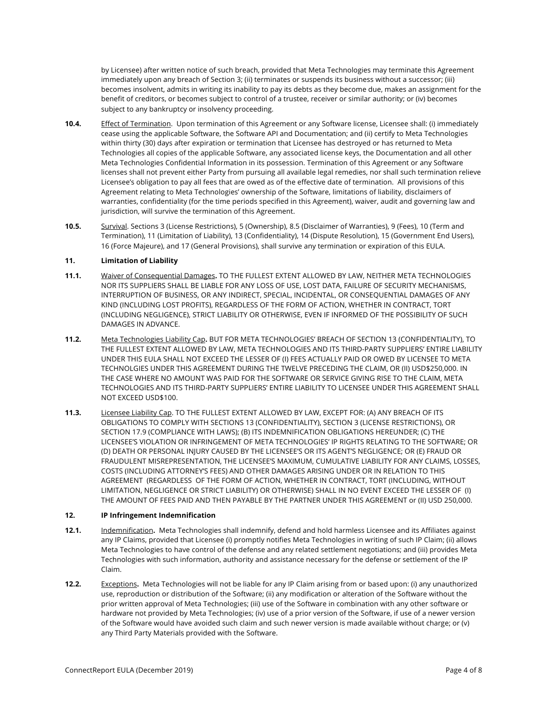by Licensee) after written notice of such breach, provided that Meta Technologies may terminate this Agreement immediately upon any breach of Section 3; (ii) terminates or suspends its business without a successor; (iii) becomes insolvent, admits in writing its inability to pay its debts as they become due, makes an assignment for the benefit of creditors, or becomes subject to control of a trustee, receiver or similar authority; or (iv) becomes subject to any bankruptcy or insolvency proceeding.

- **10.4.** Effect of Termination. Upon termination of this Agreement or any Software license, Licensee shall: (i) immediately cease using the applicable Software, the Software API and Documentation; and (ii) certify to Meta Technologies within thirty (30) days after expiration or termination that Licensee has destroyed or has returned to Meta Technologies all copies of the applicable Software, any associated license keys, the Documentation and all other Meta Technologies Confidential Information in its possession. Termination of this Agreement or any Software licenses shall not prevent either Party from pursuing all available legal remedies, nor shall such termination relieve Licensee's obligation to pay all fees that are owed as of the effective date of termination. All provisions of this Agreement relating to Meta Technologies' ownership of the Software, limitations of liability, disclaimers of warranties, confidentiality (for the time periods specified in this Agreement), waiver, audit and governing law and jurisdiction, will survive the termination of this Agreement.
- **10.5.** Survival. Sections 3 (License Restrictions), 5 (Ownership), 8.5 (Disclaimer of Warranties), 9 (Fees), 10 (Term and Termination), 11 (Limitation of Liability), 13 (Confidentiality), 14 (Dispute Resolution), 15 (Government End Users), 16 (Force Majeure), and 17 (General Provisions), shall survive any termination or expiration of this EULA.

#### **11. Limitation of Liability**

- **11.1.** Waiver of Consequential Damages**.** TO THE FULLEST EXTENT ALLOWED BY LAW, NEITHER META TECHNOLOGIES NOR ITS SUPPLIERS SHALL BE LIABLE FOR ANY LOSS OF USE, LOST DATA, FAILURE OF SECURITY MECHANISMS, INTERRUPTION OF BUSINESS, OR ANY INDIRECT, SPECIAL, INCIDENTAL, OR CONSEQUENTIAL DAMAGES OF ANY KIND (INCLUDING LOST PROFITS), REGARDLESS OF THE FORM OF ACTION, WHETHER IN CONTRACT, TORT (INCLUDING NEGLIGENCE), STRICT LIABILITY OR OTHERWISE, EVEN IF INFORMED OF THE POSSIBILITY OF SUCH DAMAGES IN ADVANCE.
- **11.2.** Meta Technologies Liability Cap**.** BUT FOR META TECHNOLOGIES' BREACH OF SECTION 13 (CONFIDENTIALITY), TO THE FULLEST EXTENT ALLOWED BY LAW, META TECHNOLOGIES AND ITS THIRD-PARTY SUPPLIERS' ENTIRE LIABILITY UNDER THIS EULA SHALL NOT EXCEED THE LESSER OF (I) FEES ACTUALLY PAID OR OWED BY LICENSEE TO META TECHNOLGIES UNDER THIS AGREEMENT DURING THE TWELVE PRECEDING THE CLAIM, OR (II) USD\$250,000. IN THE CASE WHERE NO AMOUNT WAS PAID FOR THE SOFTWARE OR SERVICE GIVING RISE TO THE CLAIM, META TECHNOLOGIES AND ITS THIRD-PARTY SUPPLIERS' ENTIRE LIABILITY TO LICENSEE UNDER THIS AGREEMENT SHALL NOT EXCEED USD\$100.
- **11.3.** Licensee Liability Cap. TO THE FULLEST EXTENT ALLOWED BY LAW, EXCEPT FOR: (A) ANY BREACH OF ITS OBLIGATIONS TO COMPLY WITH SECTIONS 13 (CONFIDENTIALITY), SECTION 3 (LICENSE RESTRICTIONS), OR SECTION 17.9 (COMPLIANCE WITH LAWS); (B) ITS INDEMNIFICATION OBLIGATIONS HEREUNDER; (C) THE LICENSEE'S VIOLATION OR INFRINGEMENT OF META TECHNOLOGIES' IP RIGHTS RELATING TO THE SOFTWARE; OR (D) DEATH OR PERSONAL INJURY CAUSED BY THE LICENSEE'S OR ITS AGENT'S NEGLIGENCE; OR (E) FRAUD OR FRAUDULENT MISREPRESENTATION, THE LICENSEE'S MAXIMUM, CUMULATIVE LIABILITY FOR ANY CLAIMS, LOSSES, COSTS (INCLUDING ATTORNEY'S FEES) AND OTHER DAMAGES ARISING UNDER OR IN RELATION TO THIS AGREEMENT (REGARDLESS OF THE FORM OF ACTION, WHETHER IN CONTRACT, TORT (INCLUDING, WITHOUT LIMITATION, NEGLIGENCE OR STRICT LIABILITY) OR OTHERWISE) SHALL IN NO EVENT EXCEED THE LESSER OF (I) THE AMOUNT OF FEES PAID AND THEN PAYABLE BY THE PARTNER UNDER THIS AGREEMENT or (II) USD 250,000.

#### **12. IP Infringement Indemnification**

- **12.1.** Indemnification**.** Meta Technologies shall indemnify, defend and hold harmless Licensee and its Affiliates against any IP Claims, provided that Licensee (i) promptly notifies Meta Technologies in writing of such IP Claim; (ii) allows Meta Technologies to have control of the defense and any related settlement negotiations; and (iii) provides Meta Technologies with such information, authority and assistance necessary for the defense or settlement of the IP Claim.
- **12.2.** Exceptions**.** Meta Technologies will not be liable for any IP Claim arising from or based upon: (i) any unauthorized use, reproduction or distribution of the Software; (ii) any modification or alteration of the Software without the prior written approval of Meta Technologies; (iii) use of the Software in combination with any other software or hardware not provided by Meta Technologies; (iv) use of a prior version of the Software, if use of a newer version of the Software would have avoided such claim and such newer version is made available without charge; or (v) any Third Party Materials provided with the Software.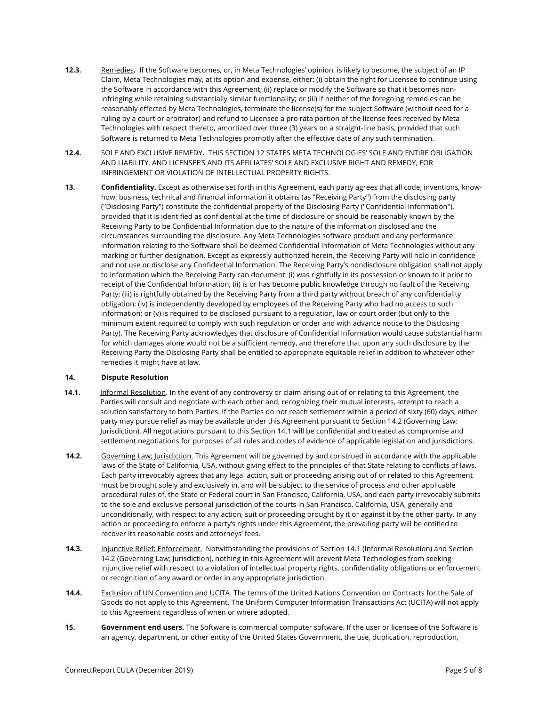- **12.3.** Remedies. If the Software becomes, or, in Meta Technologies' opinion, is likely to become, the subject of an IP Claim, Meta Technologies may, at its option and expense, either: (i) obtain the right for Licensee to continue using the Software in accordance with this Agreement; (ii) replace or modify the Software so that it becomes noninfringing while retaining substantially similar functionality; or (iii) if neither of the foregoing remedies can be reasonably effected by Meta Technologies, terminate the license(s) for the subject Software (without need for a ruling by a court or arbitrator) and refund to Licensee a pro rata portion of the license fees received by Meta Technologies with respect thereto, amortized over three (3) years on a straight-line basis, provided that such Software is returned to Meta Technologies promptly after the effective date of any such termination.
- **12.4.** SOLE AND EXCLUSIVE REMEDY. THIS SECTION 12 STATES META TECHNOLOGIES' SOLE AND ENTIRE OBLIGATION AND LIABILITY, AND LICENSEE'S AND ITS AFFILIATES' SOLE AND EXCLUSIVE RIGHT AND REMEDY, FOR INFRINGEMENT OR VIOLATION OF INTELLECTUAL PROPERTY RIGHTS.
- **13. Confidentiality.** Except as otherwise set forth in this Agreement, each party agrees that all code, inventions, knowhow, business, technical and financial information it obtains (as "Receiving Party") from the disclosing party ("Disclosing Party") constitute the confidential property of the Disclosing Party ("Confidential Information"), provided that it is identified as confidential at the time of disclosure or should be reasonably known by the Receiving Party to be Confidential Information due to the nature of the information disclosed and the circumstances surrounding the disclosure. Any Meta Technologies software product and any performance information relating to the Software shall be deemed Confidential Information of Meta Technologies without any marking or further designation. Except as expressly authorized herein, the Receiving Party will hold in confidence and not use or disclose any Confidential Information. The Receiving Party's nondisclosure obligation shall not apply to information which the Receiving Party can document: (i) was rightfully in its possession or known to it prior to receipt of the Confidential Information; (ii) is or has become public knowledge through no fault of the Receiving Party; (iii) is rightfully obtained by the Receiving Party from a third party without breach of any confidentiality obligation; (iv) is independently developed by employees of the Receiving Party who had no access to such information; or (v) is required to be disclosed pursuant to a regulation, law or court order (but only to the minimum extent required to comply with such regulation or order and with advance notice to the Disclosing Party). The Receiving Party acknowledges that disclosure of Confidential Information would cause substantial harm for which damages alone would not be a sufficient remedy, and therefore that upon any such disclosure by the Receiving Party the Disclosing Party shall be entitled to appropriate equitable relief in addition to whatever other remedies it might have at law.

## **14. Dispute Resolution**

- **14.1.** Informal Resolution. In the event of any controversy or claim arising out of or relating to this Agreement, the Parties will consult and negotiate with each other and, recognizing their mutual interests, attempt to reach a solution satisfactory to both Parties. If the Parties do not reach settlement within a period of sixty (60) days, either party may pursue relief as may be available under this Agreement pursuant to Section 14.2 (Governing Law; Jurisdiction). All negotiations pursuant to this Section 14.1 will be confidential and treated as compromise and settlement negotiations for purposes of all rules and codes of evidence of applicable legislation and jurisdictions.
- **14.2.** Governing Law; Jurisdiction. This Agreement will be governed by and construed in accordance with the applicable laws of the State of California, USA, without giving effect to the principles of that State relating to conflicts of laws. Each party irrevocably agrees that any legal action, suit or proceeding arising out of or related to this Agreement must be brought solely and exclusively in, and will be subject to the service of process and other applicable procedural rules of, the State or Federal court in San Francisco, California, USA, and each party irrevocably submits to the sole and exclusive personal jurisdiction of the courts in San Francisco, California, USA, generally and unconditionally, with respect to any action, suit or proceeding brought by it or against it by the other party. In any action or proceeding to enforce a party's rights under this Agreement, the prevailing party will be entitled to recover its reasonable costs and attorneys' fees.
- **14.3.** Injunctive Relief; Enforcement. Notwithstanding the provisions of Section 14.1 (Informal Resolution) and Section 14.2 (Governing Law; Jurisdiction), nothing in this Agreement will prevent Meta Technologies from seeking injunctive relief with respect to a violation of intellectual property rights, confidentiality obligations or enforcement or recognition of any award or order in any appropriate jurisdiction.
- **14.4.** Exclusion of UN Convention and UCITA. The terms of the United Nations Convention on Contracts for the Sale of Goods do not apply to this Agreement. The Uniform Computer Information Transactions Act (UCITA) will not apply to this Agreement regardless of when or where adopted.
- **15. Government end users.** The Software is commercial computer software. If the user or licensee of the Software is an agency, department, or other entity of the United States Government, the use, duplication, reproduction,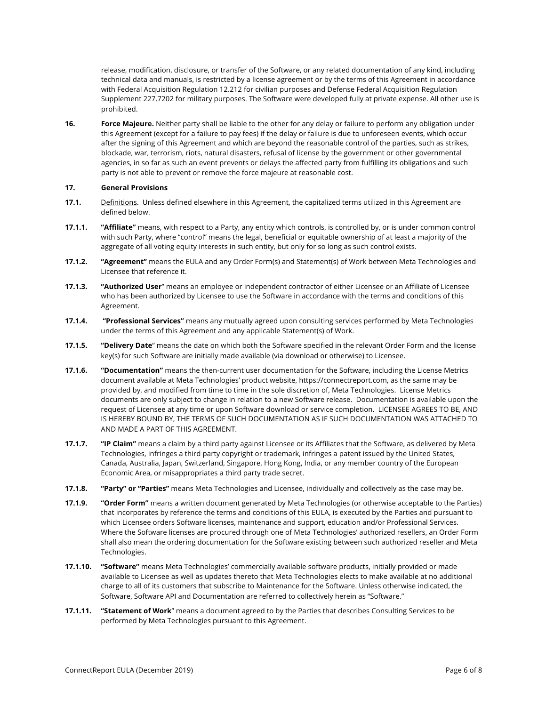release, modification, disclosure, or transfer of the Software, or any related documentation of any kind, including technical data and manuals, is restricted by a license agreement or by the terms of this Agreement in accordance with Federal Acquisition Regulation 12.212 for civilian purposes and Defense Federal Acquisition Regulation Supplement 227.7202 for military purposes. The Software were developed fully at private expense. All other use is prohibited.

**16. Force Majeure.** Neither party shall be liable to the other for any delay or failure to perform any obligation under this Agreement (except for a failure to pay fees) if the delay or failure is due to unforeseen events, which occur after the signing of this Agreement and which are beyond the reasonable control of the parties, such as strikes, blockade, war, terrorism, riots, natural disasters, refusal of license by the government or other governmental agencies, in so far as such an event prevents or delays the affected party from fulfilling its obligations and such party is not able to prevent or remove the force majeure at reasonable cost.

## **17. General Provisions**

- **17.1.** Definitions. Unless defined elsewhere in this Agreement, the capitalized terms utilized in this Agreement are defined below.
- **17.1.1. "Affiliate"** means, with respect to a Party, any entity which controls, is controlled by, or is under common control with such Party, where "control" means the legal, beneficial or equitable ownership of at least a majority of the aggregate of all voting equity interests in such entity, but only for so long as such control exists.
- **17.1.2. "Agreement"** means the EULA and any Order Form(s) and Statement(s) of Work between Meta Technologies and Licensee that reference it.
- **17.1.3. "Authorized User**" means an employee or independent contractor of either Licensee or an Affiliate of Licensee who has been authorized by Licensee to use the Software in accordance with the terms and conditions of this Agreement.
- **17.1.4. "Professional Services"** means any mutually agreed upon consulting services performed by Meta Technologies under the terms of this Agreement and any applicable Statement(s) of Work.
- **17.1.5. "Delivery Date**" means the date on which both the Software specified in the relevant Order Form and the license key(s) for such Software are initially made available (via download or otherwise) to Licensee.
- **17.1.6. "Documentation"** means the then-current user documentation for the Software, including the License Metrics document available at Meta Technologies' product website, https://connectreport.com, as the same may be provided by, and modified from time to time in the sole discretion of, Meta Technologies. License Metrics documents are only subject to change in relation to a new Software release. Documentation is available upon the request of Licensee at any time or upon Software download or service completion. LICENSEE AGREES TO BE, AND IS HEREBY BOUND BY, THE TERMS OF SUCH DOCUMENTATION AS IF SUCH DOCUMENTATION WAS ATTACHED TO AND MADE A PART OF THIS AGREEMENT.
- **17.1.7. "IP Claim"** means a claim by a third party against Licensee or its Affiliates that the Software, as delivered by Meta Technologies, infringes a third party copyright or trademark, infringes a patent issued by the United States, Canada, Australia, Japan, Switzerland, Singapore, Hong Kong, India, or any member country of the European Economic Area, or misappropriates a third party trade secret.
- **17.1.8. "Party" or "Parties"** means Meta Technologies and Licensee, individually and collectively as the case may be.
- **17.1.9. "Order Form"** means a written document generated by Meta Technologies (or otherwise acceptable to the Parties) that incorporates by reference the terms and conditions of this EULA, is executed by the Parties and pursuant to which Licensee orders Software licenses, maintenance and support, education and/or Professional Services. Where the Software licenses are procured through one of Meta Technologies' authorized resellers, an Order Form shall also mean the ordering documentation for the Software existing between such authorized reseller and Meta Technologies.
- **17.1.10. "Software"** means Meta Technologies' commercially available software products, initially provided or made available to Licensee as well as updates thereto that Meta Technologies elects to make available at no additional charge to all of its customers that subscribe to Maintenance for the Software. Unless otherwise indicated, the Software, Software API and Documentation are referred to collectively herein as "Software."
- **17.1.11. "Statement of Work**" means a document agreed to by the Parties that describes Consulting Services to be performed by Meta Technologies pursuant to this Agreement.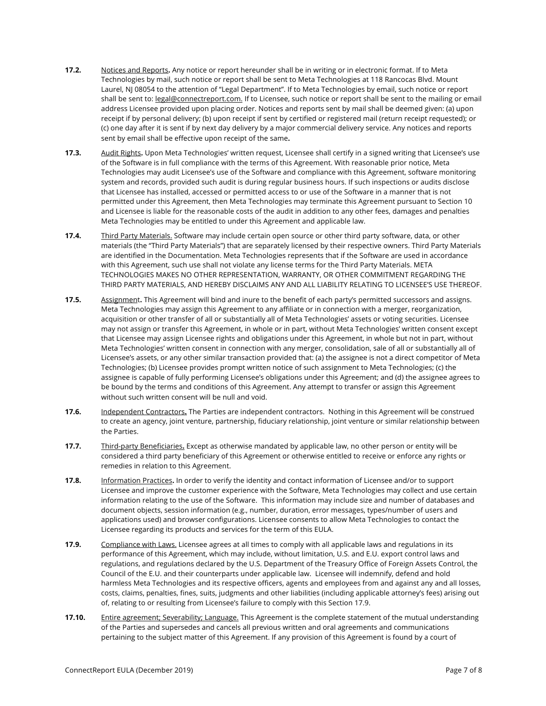- **17.2.** Notices and Reports**.** Any notice or report hereunder shall be in writing or in electronic format. If to Meta Technologies by mail, such notice or report shall be sent to Meta Technologies at 118 Rancocas Blvd. Mount Laurel, NJ 08054 to the attention of "Legal Department". If to Meta Technologies by email, such notice or report shall be sent to: legal@connectreport.com. If to Licensee, such notice or report shall be sent to the mailing or email address Licensee provided upon placing order. Notices and reports sent by mail shall be deemed given: (a) upon receipt if by personal delivery; (b) upon receipt if sent by certified or registered mail (return receipt requested); or (c) one day after it is sent if by next day delivery by a major commercial delivery service. Any notices and reports sent by email shall be effective upon receipt of the same**.**
- **17.3.** Audit Rights. Upon Meta Technologies' written request, Licensee shall certify in a signed writing that Licensee's use of the Software is in full compliance with the terms of this Agreement. With reasonable prior notice, Meta Technologies may audit Licensee's use of the Software and compliance with this Agreement, software monitoring system and records, provided such audit is during regular business hours. If such inspections or audits disclose that Licensee has installed, accessed or permitted access to or use of the Software in a manner that is not permitted under this Agreement, then Meta Technologies may terminate this Agreement pursuant to Section 10 and Licensee is liable for the reasonable costs of the audit in addition to any other fees, damages and penalties Meta Technologies may be entitled to under this Agreement and applicable law.
- **17.4.** Third Party Materials. Software may include certain open source or other third party software, data, or other materials (the "Third Party Materials") that are separately licensed by their respective owners. Third Party Materials are identified in the Documentation. Meta Technologies represents that if the Software are used in accordance with this Agreement, such use shall not violate any license terms for the Third Party Materials. META TECHNOLOGIES MAKES NO OTHER REPRESENTATION, WARRANTY, OR OTHER COMMITMENT REGARDING THE THIRD PARTY MATERIALS, AND HEREBY DISCLAIMS ANY AND ALL LIABILITY RELATING TO LICENSEE'S USE THEREOF.
- **17.5.** Assignment**.** This Agreement will bind and inure to the benefit of each party's permitted successors and assigns. Meta Technologies may assign this Agreement to any affiliate or in connection with a merger, reorganization, acquisition or other transfer of all or substantially all of Meta Technologies' assets or voting securities. Licensee may not assign or transfer this Agreement, in whole or in part, without Meta Technologies' written consent except that Licensee may assign Licensee rights and obligations under this Agreement, in whole but not in part, without Meta Technologies' written consent in connection with any merger, consolidation, sale of all or substantially all of Licensee's assets, or any other similar transaction provided that: (a) the assignee is not a direct competitor of Meta Technologies; (b) Licensee provides prompt written notice of such assignment to Meta Technologies; (c) the assignee is capable of fully performing Licensee's obligations under this Agreement; and (d) the assignee agrees to be bound by the terms and conditions of this Agreement. Any attempt to transfer or assign this Agreement without such written consent will be null and void.
- **17.6.** Independent Contractors**.** The Parties are independent contractors. Nothing in this Agreement will be construed to create an agency, joint venture, partnership, fiduciary relationship, joint venture or similar relationship between the Parties.
- **17.7.** Third-party Beneficiaries**.** Except as otherwise mandated by applicable law, no other person or entity will be considered a third party beneficiary of this Agreement or otherwise entitled to receive or enforce any rights or remedies in relation to this Agreement.
- **17.8.** Information Practices**.** In order to verify the identity and contact information of Licensee and/or to support Licensee and improve the customer experience with the Software, Meta Technologies may collect and use certain information relating to the use of the Software. This information may include size and number of databases and document objects, session information (e.g., number, duration, error messages, types/number of users and applications used) and browser configurations. Licensee consents to allow Meta Technologies to contact the Licensee regarding its products and services for the term of this EULA.
- **17.9.** Compliance with Laws. Licensee agrees at all times to comply with all applicable laws and regulations in its performance of this Agreement, which may include, without limitation, U.S. and E.U. export control laws and regulations, and regulations declared by the U.S. Department of the Treasury Office of Foreign Assets Control, the Council of the E.U. and their counterparts under applicable law. Licensee will indemnify, defend and hold harmless Meta Technologies and its respective officers, agents and employees from and against any and all losses, costs, claims, penalties, fines, suits, judgments and other liabilities (including applicable attorney's fees) arising out of, relating to or resulting from Licensee's failure to comply with this Section 17.9.
- **17.10.** Entire agreement; Severability; Language. This Agreement is the complete statement of the mutual understanding of the Parties and supersedes and cancels all previous written and oral agreements and communications pertaining to the subject matter of this Agreement. If any provision of this Agreement is found by a court of